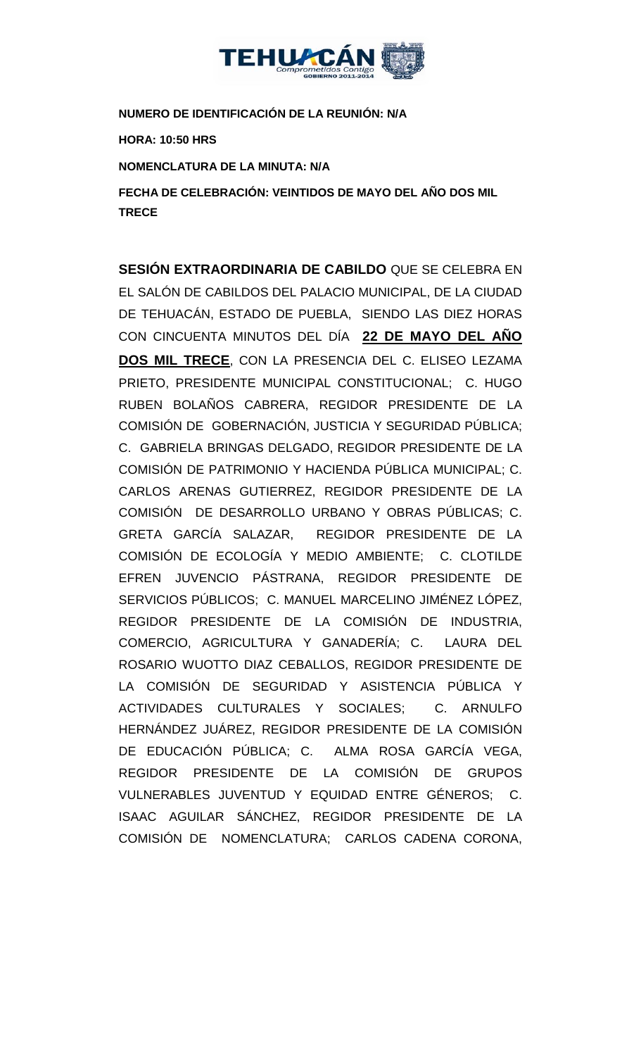

**NUMERO DE IDENTIFICACIÓN DE LA REUNIÓN: N/A**

**HORA: 10:50 HRS**

**NOMENCLATURA DE LA MINUTA: N/A**

**FECHA DE CELEBRACIÓN: VEINTIDOS DE MAYO DEL AÑO DOS MIL TRECE** 

**SESIÓN EXTRAORDINARIA DE CABILDO** QUE SE CELEBRA EN EL SALÓN DE CABILDOS DEL PALACIO MUNICIPAL, DE LA CIUDAD DE TEHUACÁN, ESTADO DE PUEBLA, SIENDO LAS DIEZ HORAS CON CINCUENTA MINUTOS DEL DÍA **22 DE MAYO DEL AÑO DOS MIL TRECE**, CON LA PRESENCIA DEL C. ELISEO LEZAMA PRIETO, PRESIDENTE MUNICIPAL CONSTITUCIONAL; C. HUGO RUBEN BOLAÑOS CABRERA, REGIDOR PRESIDENTE DE LA COMISIÓN DE GOBERNACIÓN, JUSTICIA Y SEGURIDAD PÚBLICA; C. GABRIELA BRINGAS DELGADO, REGIDOR PRESIDENTE DE LA COMISIÓN DE PATRIMONIO Y HACIENDA PÚBLICA MUNICIPAL; C. CARLOS ARENAS GUTIERREZ, REGIDOR PRESIDENTE DE LA COMISIÓN DE DESARROLLO URBANO Y OBRAS PÚBLICAS; C. GRETA GARCÍA SALAZAR, REGIDOR PRESIDENTE DE LA COMISIÓN DE ECOLOGÍA Y MEDIO AMBIENTE; C. CLOTILDE EFREN JUVENCIO PÁSTRANA, REGIDOR PRESIDENTE DE SERVICIOS PÚBLICOS; C. MANUEL MARCELINO JIMÉNEZ LÓPEZ, REGIDOR PRESIDENTE DE LA COMISIÓN DE INDUSTRIA, COMERCIO, AGRICULTURA Y GANADERÍA; C. LAURA DEL ROSARIO WUOTTO DIAZ CEBALLOS, REGIDOR PRESIDENTE DE LA COMISIÓN DE SEGURIDAD Y ASISTENCIA PÚBLICA Y ACTIVIDADES CULTURALES Y SOCIALES; C. ARNULFO HERNÁNDEZ JUÁREZ, REGIDOR PRESIDENTE DE LA COMISIÓN DE EDUCACIÓN PÚBLICA; C. ALMA ROSA GARCÍA VEGA, REGIDOR PRESIDENTE DE LA COMISIÓN DE GRUPOS VULNERABLES JUVENTUD Y EQUIDAD ENTRE GÉNEROS; C. ISAAC AGUILAR SÁNCHEZ, REGIDOR PRESIDENTE DE LA COMISIÓN DE NOMENCLATURA; CARLOS CADENA CORONA,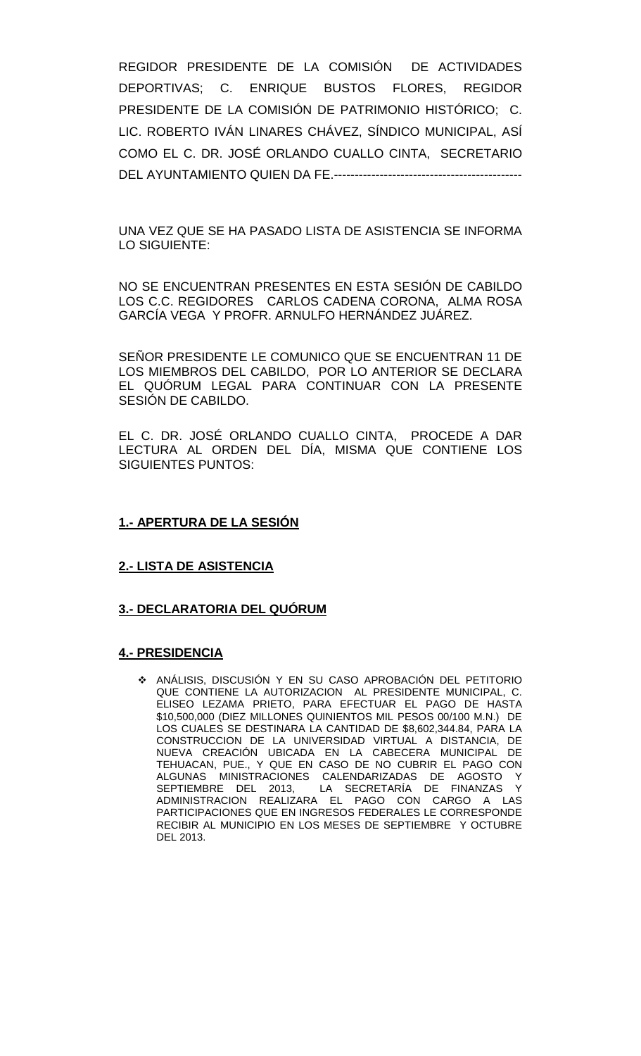REGIDOR PRESIDENTE DE LA COMISIÓN DE ACTIVIDADES DEPORTIVAS; C. ENRIQUE BUSTOS FLORES, REGIDOR PRESIDENTE DE LA COMISIÓN DE PATRIMONIO HISTÓRICO; C. LIC. ROBERTO IVÁN LINARES CHÁVEZ, SÍNDICO MUNICIPAL, ASÍ COMO EL C. DR. JOSÉ ORLANDO CUALLO CINTA, SECRETARIO DEL AYUNTAMIENTO QUIEN DA FE.---------------------------------------------

UNA VEZ QUE SE HA PASADO LISTA DE ASISTENCIA SE INFORMA LO SIGUIENTE:

NO SE ENCUENTRAN PRESENTES EN ESTA SESIÓN DE CABILDO LOS C.C. REGIDORES CARLOS CADENA CORONA, ALMA ROSA GARCÍA VEGA Y PROFR. ARNULFO HERNÁNDEZ JUÁREZ.

SEÑOR PRESIDENTE LE COMUNICO QUE SE ENCUENTRAN 11 DE LOS MIEMBROS DEL CABILDO, POR LO ANTERIOR SE DECLARA EL QUÓRUM LEGAL PARA CONTINUAR CON LA PRESENTE SESIÓN DE CABILDO.

EL C. DR. JOSÉ ORLANDO CUALLO CINTA, PROCEDE A DAR LECTURA AL ORDEN DEL DÍA, MISMA QUE CONTIENE LOS SIGUIENTES PUNTOS:

## **1.- APERTURA DE LA SESIÓN**

#### **2.- LISTA DE ASISTENCIA**

#### **3.- DECLARATORIA DEL QUÓRUM**

#### **4.- PRESIDENCIA**

 ANÁLISIS, DISCUSIÓN Y EN SU CASO APROBACIÓN DEL PETITORIO QUE CONTIENE LA AUTORIZACION AL PRESIDENTE MUNICIPAL, C. ELISEO LEZAMA PRIETO, PARA EFECTUAR EL PAGO DE HASTA \$10,500,000 (DIEZ MILLONES QUINIENTOS MIL PESOS 00/100 M.N.) DE LOS CUALES SE DESTINARA LA CANTIDAD DE \$8,602,344.84, PARA LA CONSTRUCCION DE LA UNIVERSIDAD VIRTUAL A DISTANCIA, DE NUEVA CREACIÓN UBICADA EN LA CABECERA MUNICIPAL DE TEHUACAN, PUE., Y QUE EN CASO DE NO CUBRIR EL PAGO CON ALGUNAS MINISTRACIONES CALENDARIZADAS DE AGOSTO Y<br>SEPTIEMBRE DEL 2013, LA SECRETARÍA DE FINANZAS Y LA SECRETARÍA DE FINANZAS ADMINISTRACION REALIZARA EL PAGO CON CARGO A LAS PARTICIPACIONES QUE EN INGRESOS FEDERALES LE CORRESPONDE RECIBIR AL MUNICIPIO EN LOS MESES DE SEPTIEMBRE Y OCTUBRE DEL 2013.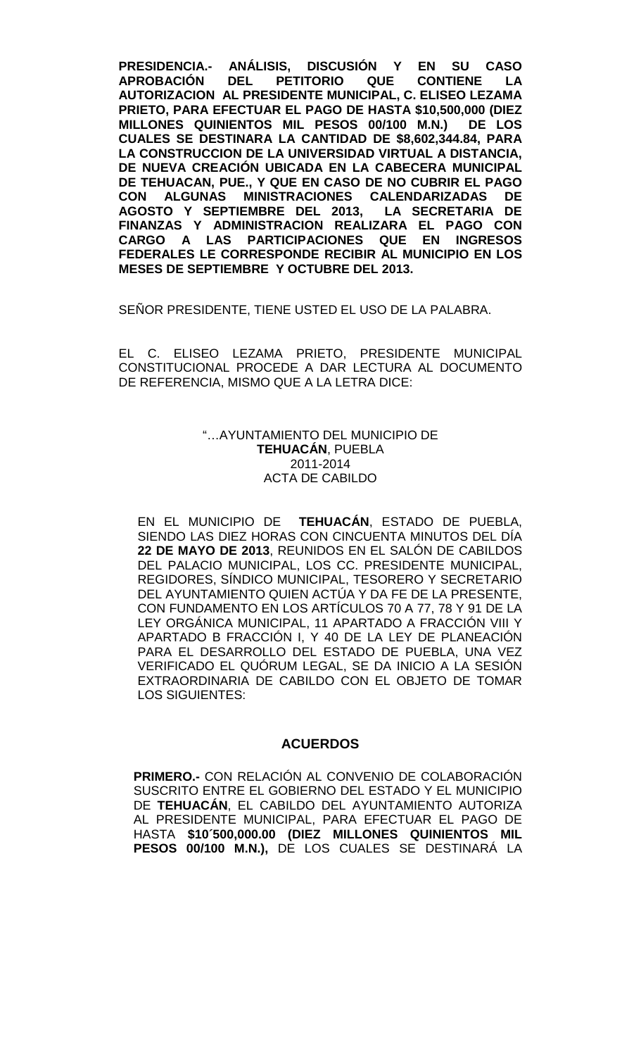**PRESIDENCIA.- ANÁLISIS, DISCUSIÓN Y EN SU CASO APROBACIÓN DEL PETITORIO QUE CONTIENE LA AUTORIZACION AL PRESIDENTE MUNICIPAL, C. ELISEO LEZAMA PRIETO, PARA EFECTUAR EL PAGO DE HASTA \$10,500,000 (DIEZ MILLONES QUINIENTOS MIL PESOS 00/100 M.N.) DE LOS CUALES SE DESTINARA LA CANTIDAD DE \$8,602,344.84, PARA LA CONSTRUCCION DE LA UNIVERSIDAD VIRTUAL A DISTANCIA, DE NUEVA CREACIÓN UBICADA EN LA CABECERA MUNICIPAL DE TEHUACAN, PUE., Y QUE EN CASO DE NO CUBRIR EL PAGO CON ALGUNAS MINISTRACIONES CALENDARIZADAS DE AGOSTO Y SEPTIEMBRE DEL 2013, LA SECRETARIA DE FINANZAS Y ADMINISTRACION REALIZARA EL PAGO CON CARGO A LAS PARTICIPACIONES QUE EN INGRESOS FEDERALES LE CORRESPONDE RECIBIR AL MUNICIPIO EN LOS MESES DE SEPTIEMBRE Y OCTUBRE DEL 2013.**

SEÑOR PRESIDENTE, TIENE USTED EL USO DE LA PALABRA.

EL C. ELISEO LEZAMA PRIETO, PRESIDENTE MUNICIPAL CONSTITUCIONAL PROCEDE A DAR LECTURA AL DOCUMENTO DE REFERENCIA, MISMO QUE A LA LETRA DICE:

## "…AYUNTAMIENTO DEL MUNICIPIO DE **TEHUACÁN**, PUEBLA 2011-2014 ACTA DE CABILDO

EN EL MUNICIPIO DE **TEHUACÁN**, ESTADO DE PUEBLA, SIENDO LAS DIEZ HORAS CON CINCUENTA MINUTOS DEL DÍA **22 DE MAYO DE 2013**, REUNIDOS EN EL SALÓN DE CABILDOS DEL PALACIO MUNICIPAL, LOS CC. PRESIDENTE MUNICIPAL, REGIDORES, SÍNDICO MUNICIPAL, TESORERO Y SECRETARIO DEL AYUNTAMIENTO QUIEN ACTÚA Y DA FE DE LA PRESENTE, CON FUNDAMENTO EN LOS ARTÍCULOS 70 A 77, 78 Y 91 DE LA LEY ORGÁNICA MUNICIPAL, 11 APARTADO A FRACCIÓN VIII Y APARTADO B FRACCIÓN I, Y 40 DE LA LEY DE PLANEACIÓN PARA EL DESARROLLO DEL ESTADO DE PUEBLA, UNA VEZ VERIFICADO EL QUÓRUM LEGAL, SE DA INICIO A LA SESIÓN EXTRAORDINARIA DE CABILDO CON EL OBJETO DE TOMAR LOS SIGUIENTES:

#### **ACUERDOS**

**PRIMERO.-** CON RELACIÓN AL CONVENIO DE COLABORACIÓN SUSCRITO ENTRE EL GOBIERNO DEL ESTADO Y EL MUNICIPIO DE **TEHUACÁN**, EL CABILDO DEL AYUNTAMIENTO AUTORIZA AL PRESIDENTE MUNICIPAL, PARA EFECTUAR EL PAGO DE HASTA **\$10´500,000.00 (DIEZ MILLONES QUINIENTOS MIL PESOS 00/100 M.N.),** DE LOS CUALES SE DESTINARÁ LA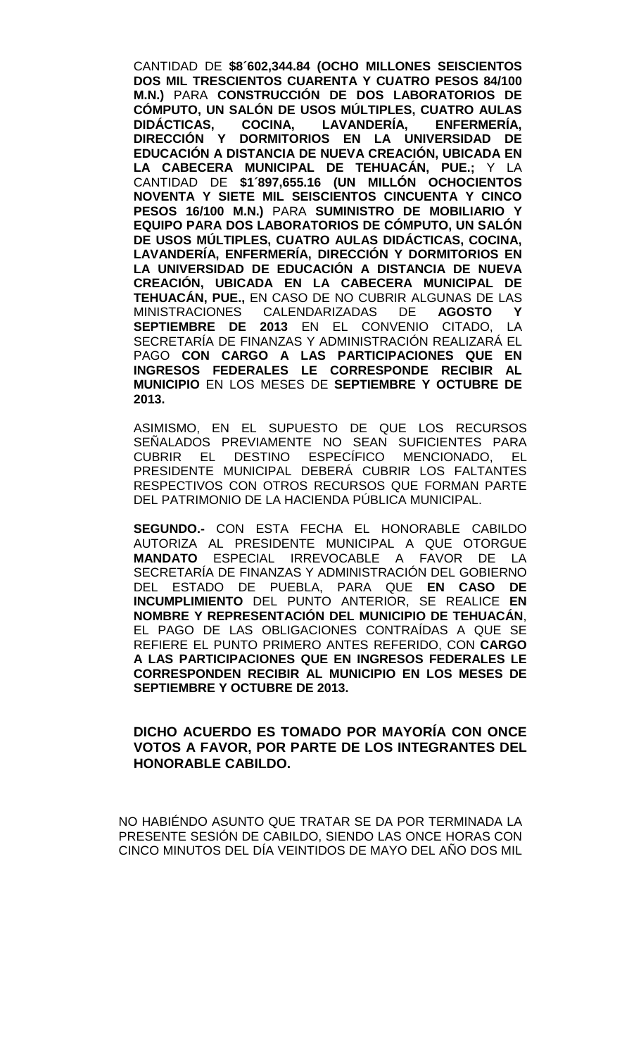CANTIDAD DE **\$8´602,344.84 (OCHO MILLONES SEISCIENTOS DOS MIL TRESCIENTOS CUARENTA Y CUATRO PESOS 84/100 M.N.)** PARA **CONSTRUCCIÓN DE DOS LABORATORIOS DE CÓMPUTO, UN SALÓN DE USOS MÚLTIPLES, CUATRO AULAS**  DIDÁCTICAS, COCINA, LAVANDERÍA, **DIRECCIÓN Y DORMITORIOS EN LA UNIVERSIDAD DE EDUCACIÓN A DISTANCIA DE NUEVA CREACIÓN, UBICADA EN LA CABECERA MUNICIPAL DE TEHUACÁN, PUE.;** Y LA CANTIDAD DE **\$1´897,655.16 (UN MILLÓN OCHOCIENTOS NOVENTA Y SIETE MIL SEISCIENTOS CINCUENTA Y CINCO PESOS 16/100 M.N.)** PARA **SUMINISTRO DE MOBILIARIO Y EQUIPO PARA DOS LABORATORIOS DE CÓMPUTO, UN SALÓN DE USOS MÚLTIPLES, CUATRO AULAS DIDÁCTICAS, COCINA, LAVANDERÍA, ENFERMERÍA, DIRECCIÓN Y DORMITORIOS EN LA UNIVERSIDAD DE EDUCACIÓN A DISTANCIA DE NUEVA CREACIÓN, UBICADA EN LA CABECERA MUNICIPAL DE TEHUACÁN, PUE.,** EN CASO DE NO CUBRIR ALGUNAS DE LAS MINISTRACIONES CALENDARIZADAS DE **AGOSTO Y SEPTIEMBRE DE 2013** EN EL CONVENIO CITADO, LA SECRETARÍA DE FINANZAS Y ADMINISTRACIÓN REALIZARÁ EL PAGO **CON CARGO A LAS PARTICIPACIONES QUE EN INGRESOS FEDERALES LE CORRESPONDE RECIBIR AL MUNICIPIO** EN LOS MESES DE **SEPTIEMBRE Y OCTUBRE DE 2013.** 

ASIMISMO, EN EL SUPUESTO DE QUE LOS RECURSOS SEÑALADOS PREVIAMENTE NO SEAN SUFICIENTES PARA<br>CUBRIR EL DESTINO ESPECÍFICO MENCIONADO, EL CUBRIR EL DESTINO ESPECÍFICO MENCIONADO, EL PRESIDENTE MUNICIPAL DEBERÁ CUBRIR LOS FALTANTES RESPECTIVOS CON OTROS RECURSOS QUE FORMAN PARTE DEL PATRIMONIO DE LA HACIENDA PÚBLICA MUNICIPAL.

**SEGUNDO.-** CON ESTA FECHA EL HONORABLE CABILDO AUTORIZA AL PRESIDENTE MUNICIPAL A QUE OTORGUE **MANDATO** ESPECIAL IRREVOCABLE A FAVOR DE LA SECRETARÍA DE FINANZAS Y ADMINISTRACIÓN DEL GOBIERNO DEL ESTADO DE PUEBLA, PARA QUE **EN CASO DE INCUMPLIMIENTO** DEL PUNTO ANTERIOR, SE REALICE **EN NOMBRE Y REPRESENTACIÓN DEL MUNICIPIO DE TEHUACÁN**, EL PAGO DE LAS OBLIGACIONES CONTRAÍDAS A QUE SE REFIERE EL PUNTO PRIMERO ANTES REFERIDO, CON **CARGO A LAS PARTICIPACIONES QUE EN INGRESOS FEDERALES LE CORRESPONDEN RECIBIR AL MUNICIPIO EN LOS MESES DE SEPTIEMBRE Y OCTUBRE DE 2013.**

# **DICHO ACUERDO ES TOMADO POR MAYORÍA CON ONCE VOTOS A FAVOR, POR PARTE DE LOS INTEGRANTES DEL HONORABLE CABILDO.**

NO HABIÉNDO ASUNTO QUE TRATAR SE DA POR TERMINADA LA PRESENTE SESIÓN DE CABILDO, SIENDO LAS ONCE HORAS CON CINCO MINUTOS DEL DÍA VEINTIDOS DE MAYO DEL AÑO DOS MIL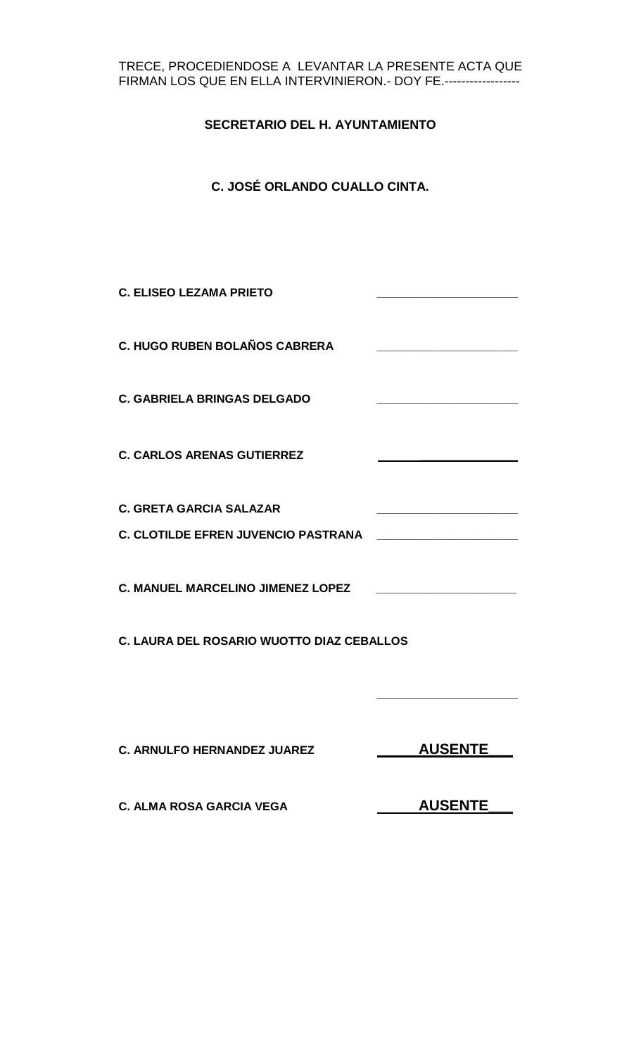## TRECE, PROCEDIENDOSE A LEVANTAR LA PRESENTE ACTA QUE FIRMAN LOS QUE EN ELLA INTERVINIERON.- DOY FE.------------------

# **SECRETARIO DEL H. AYUNTAMIENTO**

# **C. JOSÉ ORLANDO CUALLO CINTA.**

| <b>C. ELISEO LEZAMA PRIETO</b>             |                |
|--------------------------------------------|----------------|
| <b>C. HUGO RUBEN BOLAÑOS CABRERA</b>       |                |
| <b>C. GABRIELA BRINGAS DELGADO</b>         |                |
| <b>C. CARLOS ARENAS GUTIERREZ</b>          |                |
| <b>C. GRETA GARCIA SALAZAR</b>             |                |
| <b>C. CLOTILDE EFREN JUVENCIO PASTRANA</b> |                |
| <b>C. MANUEL MARCELINO JIMENEZ LOPEZ</b>   |                |
| C. LAURA DEL ROSARIO WUOTTO DIAZ CEBALLOS  |                |
| <b>C. ARNULFO HERNANDEZ JUAREZ</b>         | <b>AUSENTE</b> |

**C. ALMA ROSA GARCIA VEGA AUSENTE**